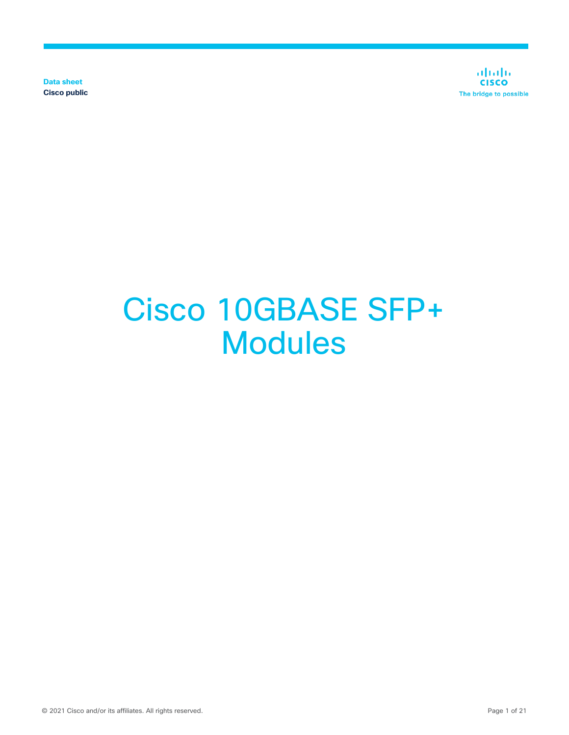**Data sheet Cisco public**

ahaha **CISCO** The bridge to possible

# Cisco 10GBASE SFP+ **Modules**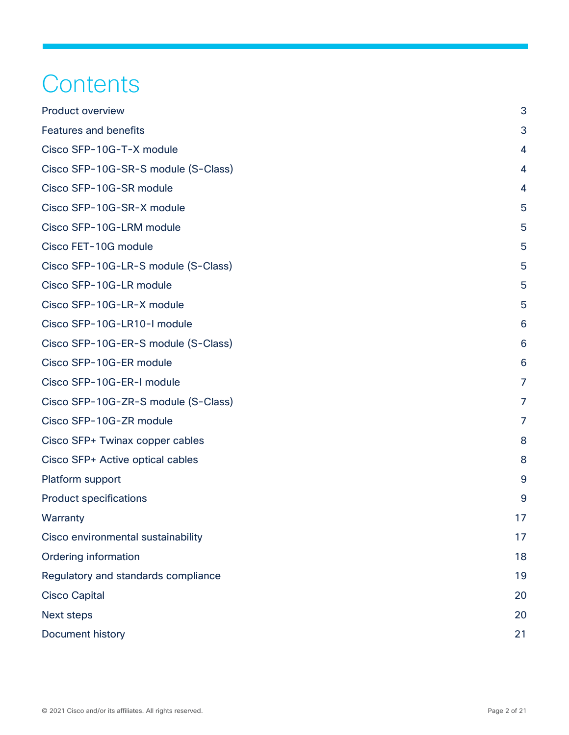# **Contents**

| <b>Product overview</b>             | 3  |
|-------------------------------------|----|
| <b>Features and benefits</b>        | 3  |
| Cisco SFP-10G-T-X module            | 4  |
| Cisco SFP-10G-SR-S module (S-Class) | 4  |
| Cisco SFP-10G-SR module             | 4  |
| Cisco SFP-10G-SR-X module           | 5  |
| Cisco SFP-10G-LRM module            | 5  |
| Cisco FET-10G module                | 5  |
| Cisco SFP-10G-LR-S module (S-Class) | 5  |
| Cisco SFP-10G-LR module             | 5  |
| Cisco SFP-10G-LR-X module           | 5  |
| Cisco SFP-10G-LR10-I module         | 6  |
| Cisco SFP-10G-ER-S module (S-Class) | 6  |
| Cisco SFP-10G-ER module             | 6  |
| Cisco SFP-10G-ER-I module           | 7  |
| Cisco SFP-10G-ZR-S module (S-Class) | 7  |
| Cisco SFP-10G-ZR module             | 7  |
| Cisco SFP+ Twinax copper cables     | 8  |
| Cisco SFP+ Active optical cables    | 8  |
| Platform support                    | 9  |
| <b>Product specifications</b>       | 9  |
| Warranty                            | 17 |
| Cisco environmental sustainability  | 17 |
| <b>Ordering information</b>         | 18 |
| Regulatory and standards compliance | 19 |
| <b>Cisco Capital</b>                | 20 |
| <b>Next steps</b>                   | 20 |
| Document history                    | 21 |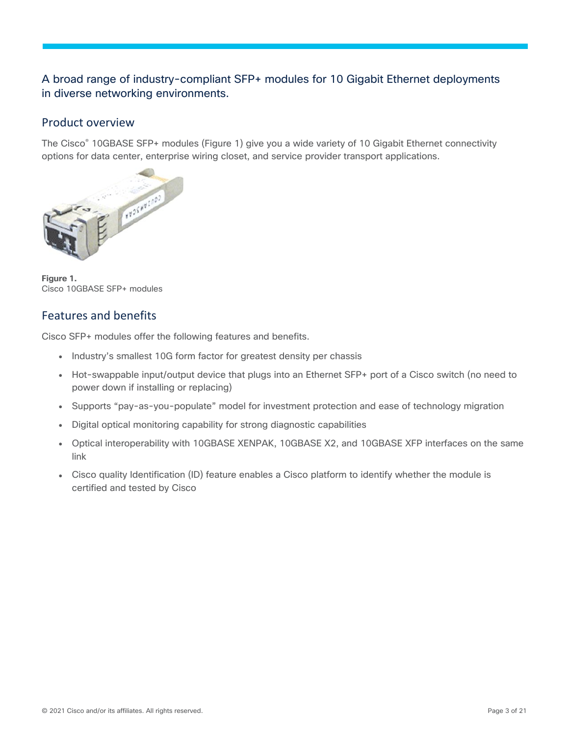# A broad range of industry-compliant SFP+ modules for 10 Gigabit Ethernet deployments in diverse networking environments.

#### <span id="page-2-0"></span>Product overview

The Cisco® 10GBASE SFP+ modules (Figure 1) give you a wide variety of 10 Gigabit Ethernet connectivity options for data center, enterprise wiring closet, and service provider transport applications.



**Figure 1.**  Cisco 10GBASE SFP+ modules

#### <span id="page-2-1"></span>Features and benefits

Cisco SFP+ modules offer the following features and benefits.

- Industry's smallest 10G form factor for greatest density per chassis
- Hot-swappable input/output device that plugs into an Ethernet SFP+ port of a Cisco switch (no need to power down if installing or replacing)
- Supports "pay-as-you-populate" model for investment protection and ease of technology migration
- Digital optical monitoring capability for strong diagnostic capabilities
- Optical interoperability with 10GBASE XENPAK, 10GBASE X2, and 10GBASE XFP interfaces on the same link
- Cisco quality Identification (ID) feature enables a Cisco platform to identify whether the module is certified and tested by Cisco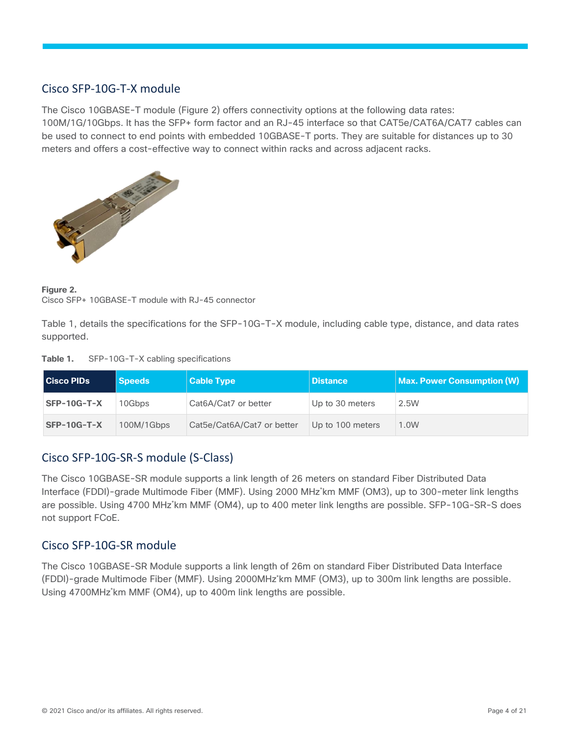# <span id="page-3-0"></span>Cisco SFP-10G-T-X module

The Cisco 10GBASE-T module (Figure 2) offers connectivity options at the following data rates: 100M/1G/10Gbps. It has the SFP+ form factor and an RJ-45 interface so that CAT5e/CAT6A/CAT7 cables can be used to connect to end points with embedded 10GBASE-T ports. They are suitable for distances up to 30 meters and offers a cost-effective way to connect within racks and across adjacent racks.



**Figure 2.**  Cisco SFP+ 10GBASE-T module with RJ-45 connector

Table 1, details the specifications for the SFP-10G-T-X module, including cable type, distance, and data rates supported.

| Table 1. | SFP-10G-T-X cabling specifications |  |  |
|----------|------------------------------------|--|--|
|----------|------------------------------------|--|--|

| <b>Cisco PIDs</b> | <b>Speeds</b> | <b>Cable Type</b>          | <b>Distance</b>  | <b>Max. Power Consumption (W)</b> |
|-------------------|---------------|----------------------------|------------------|-----------------------------------|
| SFP-10G-T-X       | 10Gbps        | Cat6A/Cat7 or better       | Up to 30 meters  | 2.5W                              |
| $SFP-10G-T-X$     | 100M/1Gbps    | Cat5e/Cat6A/Cat7 or better | Up to 100 meters | 1.0W                              |

# <span id="page-3-1"></span>Cisco SFP-10G-SR-S module (S-Class)

The Cisco 10GBASE-SR module supports a link length of 26 meters on standard Fiber Distributed Data Interface (FDDI)-grade Multimode Fiber (MMF). Using 2000 MHz\*km MMF (OM3), up to 300-meter link lengths are possible. Using 4700 MHz\*km MMF (OM4), up to 400 meter link lengths are possible. SFP-10G-SR-S does not support FCoE.

#### <span id="page-3-2"></span>Cisco SFP-10G-SR module

The Cisco 10GBASE-SR Module supports a link length of 26m on standard Fiber Distributed Data Interface (FDDI)-grade Multimode Fiber (MMF). Using 2000MHz\*km MMF (OM3), up to 300m link lengths are possible. Using 4700MHz\*km MMF (OM4), up to 400m link lengths are possible.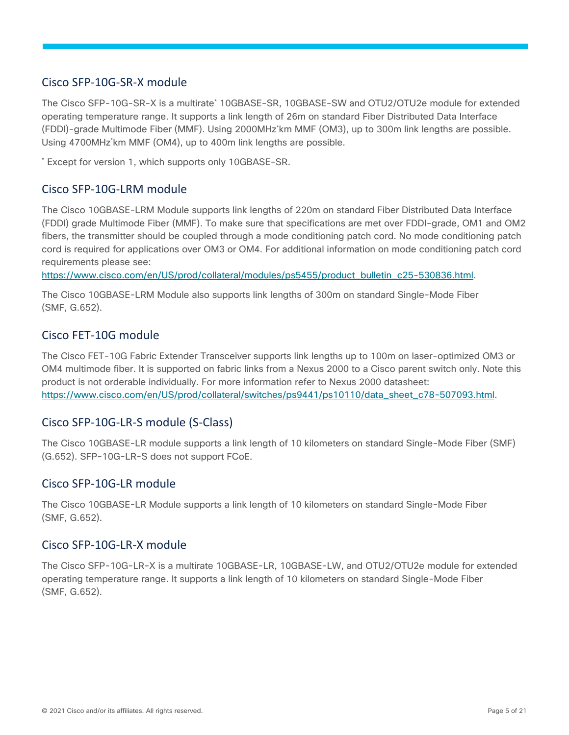#### <span id="page-4-0"></span>Cisco SFP-10G-SR-X module

The Cisco SFP-10G-SR-X is a multirate<sup>\*</sup> 10GBASE-SR, 10GBASE-SW and OTU2/OTU2e module for extended operating temperature range. It supports a link length of 26m on standard Fiber Distributed Data Interface (FDDI)-grade Multimode Fiber (MMF). Using 2000MHz\*km MMF (OM3), up to 300m link lengths are possible. Using 4700MHz\*km MMF (OM4), up to 400m link lengths are possible.

\* Except for version 1, which supports only 10GBASE-SR.

#### <span id="page-4-1"></span>Cisco SFP-10G-LRM module

The Cisco 10GBASE-LRM Module supports link lengths of 220m on standard Fiber Distributed Data Interface (FDDI) grade Multimode Fiber (MMF). To make sure that specifications are met over FDDI-grade, OM1 and OM2 fibers, the transmitter should be coupled through a mode conditioning patch cord. No mode conditioning patch cord is required for applications over OM3 or OM4. For additional information on mode conditioning patch cord requirements please see:

[https://www.cisco.com/en/US/prod/collateral/modules/ps5455/product\\_bulletin\\_c25-530836.html.](https://www.cisco.com/en/US/prod/collateral/modules/ps5455/product_bulletin_c25-530836.html)

The Cisco 10GBASE-LRM Module also supports link lengths of 300m on standard Single-Mode Fiber (SMF, G.652).

#### <span id="page-4-2"></span>Cisco FET-10G module

The Cisco FET-10G Fabric Extender Transceiver supports link lengths up to 100m on laser-optimized OM3 or OM4 multimode fiber. It is supported on fabric links from a Nexus 2000 to a Cisco parent switch only. Note this product is not orderable individually. For more information refer to Nexus 2000 datasheet: [https://www.cisco.com/en/US/prod/collateral/switches/ps9441/ps10110/data\\_sheet\\_c78-507093.html.](https://www.cisco.com/en/US/prod/collateral/switches/ps9441/ps10110/data_sheet_c78-507093.html)

#### <span id="page-4-3"></span>Cisco SFP-10G-LR-S module (S-Class)

The Cisco 10GBASE-LR module supports a link length of 10 kilometers on standard Single-Mode Fiber (SMF) (G.652). SFP-10G-LR-S does not support FCoE.

#### <span id="page-4-4"></span>Cisco SFP-10G-LR module

The Cisco 10GBASE-LR Module supports a link length of 10 kilometers on standard Single-Mode Fiber (SMF, G.652).

#### <span id="page-4-5"></span>Cisco SFP-10G-LR-X module

The Cisco SFP-10G-LR-X is a multirate 10GBASE-LR, 10GBASE-LW, and OTU2/OTU2e module for extended operating temperature range. It supports a link length of 10 kilometers on standard Single-Mode Fiber (SMF, G.652).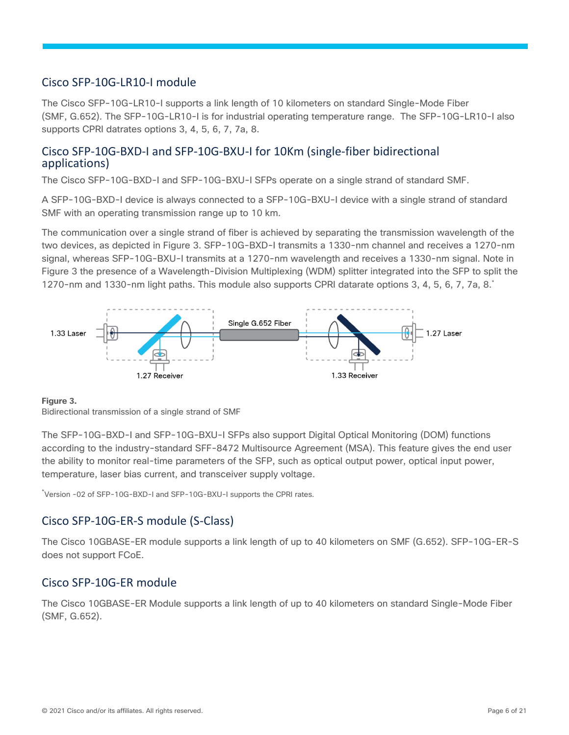#### <span id="page-5-0"></span>Cisco SFP-10G-LR10-I module

The Cisco SFP-10G-LR10-I supports a link length of 10 kilometers on standard Single-Mode Fiber (SMF, G.652). The SFP-10G-LR10-I is for industrial operating temperature range. The SFP-10G-LR10-I also supports CPRI datrates options 3, 4, 5, 6, 7, 7a, 8.

#### Cisco SFP-10G-BXD-I and SFP-10G-BXU-I for 10Km (single-fiber bidirectional applications)

The Cisco SFP-10G-BXD-I and SFP-10G-BXU-I SFPs operate on a single strand of standard SMF.

A SFP-10G-BXD-I device is always connected to a SFP-10G-BXU-I device with a single strand of standard SMF with an operating transmission range up to 10 km.

The communication over a single strand of fiber is achieved by separating the transmission wavelength of the two devices, as depicted in Figure 3. SFP-10G-BXD-I transmits a 1330-nm channel and receives a 1270-nm signal, whereas SFP-10G-BXU-I transmits at a 1270-nm wavelength and receives a 1330-nm signal. Note in Figure 3 the presence of a Wavelength-Division Multiplexing (WDM) splitter integrated into the SFP to split the 1270-nm and 1330-nm light paths. This module also supports CPRI datarate options 3, 4, 5, 6, 7, 7a, 8.\*



#### **Figure 3.**

Bidirectional transmission of a single strand of SMF

The SFP-10G-BXD-I and SFP-10G-BXU-I SFPs also support Digital Optical Monitoring (DOM) functions according to the industry-standard SFF-8472 Multisource Agreement (MSA). This feature gives the end user the ability to monitor real-time parameters of the SFP, such as optical output power, optical input power, temperature, laser bias current, and transceiver supply voltage.

\*Version -02 of SFP-10G-BXD-I and SFP-10G-BXU-I supports the CPRI rates.

# <span id="page-5-1"></span>Cisco SFP-10G-ER-S module (S-Class)

The Cisco 10GBASE-ER module supports a link length of up to 40 kilometers on SMF (G.652). SFP-10G-ER-S does not support FCoE.

#### <span id="page-5-2"></span>Cisco SFP-10G-ER module

The Cisco 10GBASE-ER Module supports a link length of up to 40 kilometers on standard Single-Mode Fiber (SMF, G.652).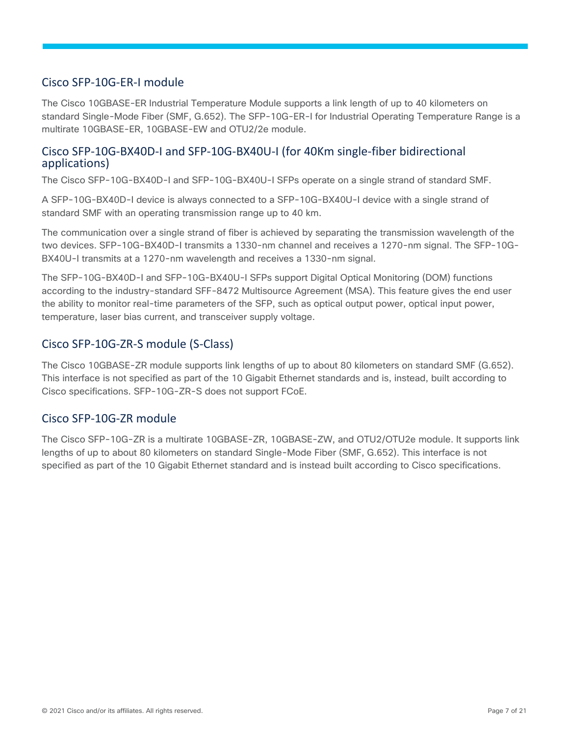#### <span id="page-6-0"></span>Cisco SFP-10G-ER-I module

The Cisco 10GBASE-ER Industrial Temperature Module supports a link length of up to 40 kilometers on standard Single-Mode Fiber (SMF, G.652). The SFP-10G-ER-I for Industrial Operating Temperature Range is a multirate 10GBASE-ER, 10GBASE-EW and OTU2/2e module.

#### Cisco SFP-10G-BX40D-I and SFP-10G-BX40U-I (for 40Km single-fiber bidirectional applications)

The Cisco SFP-10G-BX40D-I and SFP-10G-BX40U-I SFPs operate on a single strand of standard SMF.

A SFP-10G-BX40D-I device is always connected to a SFP-10G-BX40U-I device with a single strand of standard SMF with an operating transmission range up to 40 km.

The communication over a single strand of fiber is achieved by separating the transmission wavelength of the two devices. SFP-10G-BX40D-I transmits a 1330-nm channel and receives a 1270-nm signal. The SFP-10G-BX40U-I transmits at a 1270-nm wavelength and receives a 1330-nm signal.

The SFP-10G-BX40D-I and SFP-10G-BX40U-I SFPs support Digital Optical Monitoring (DOM) functions according to the industry-standard SFF-8472 Multisource Agreement (MSA). This feature gives the end user the ability to monitor real-time parameters of the SFP, such as optical output power, optical input power, temperature, laser bias current, and transceiver supply voltage.

#### <span id="page-6-1"></span>Cisco SFP-10G-ZR-S module (S-Class)

The Cisco 10GBASE-ZR module supports link lengths of up to about 80 kilometers on standard SMF (G.652). This interface is not specified as part of the 10 Gigabit Ethernet standards and is, instead, built according to Cisco specifications. SFP-10G-ZR-S does not support FCoE.

#### <span id="page-6-2"></span>Cisco SFP-10G-ZR module

The Cisco SFP-10G-ZR is a multirate 10GBASE-ZR, 10GBASE-ZW, and OTU2/OTU2e module. It supports link lengths of up to about 80 kilometers on standard Single-Mode Fiber (SMF, G.652). This interface is not specified as part of the 10 Gigabit Ethernet standard and is instead built according to Cisco specifications.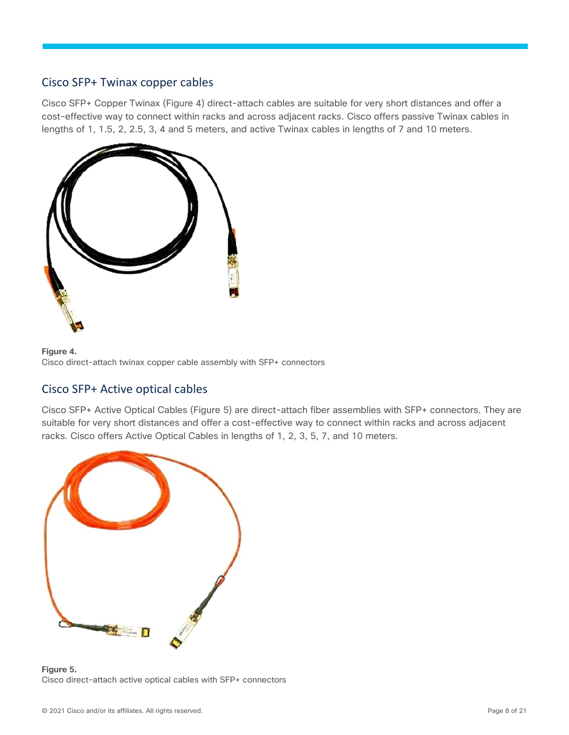#### <span id="page-7-0"></span>Cisco SFP+ Twinax copper cables

Cisco SFP+ Copper Twinax (Figure 4) direct-attach cables are suitable for very short distances and offer a cost-effective way to connect within racks and across adjacent racks. Cisco offers passive Twinax cables in lengths of 1, 1.5, 2, 2.5, 3, 4 and 5 meters, and active Twinax cables in lengths of 7 and 10 meters.



**Figure 4.**  Cisco direct-attach twinax copper cable assembly with SFP+ connectors

# <span id="page-7-1"></span>Cisco SFP+ Active optical cables

Cisco SFP+ Active Optical Cables (Figure 5) are direct-attach fiber assemblies with SFP+ connectors. They are suitable for very short distances and offer a cost-effective way to connect within racks and across adjacent racks. Cisco offers Active Optical Cables in lengths of 1, 2, 3, 5, 7, and 10 meters.



**Figure 5.**  Cisco direct-attach active optical cables with SFP+ connectors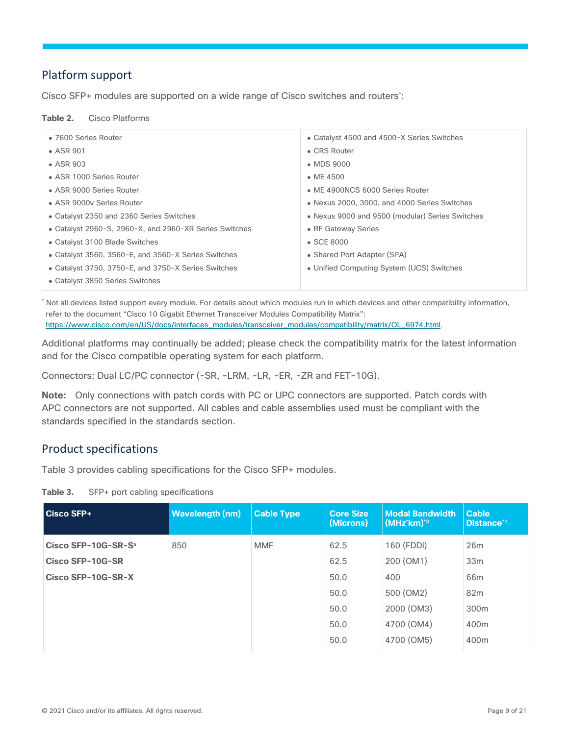# <span id="page-8-0"></span>Platform support

Cisco SFP+ modules are supported on a wide range of Cisco switches and routers\* :

#### **Table 2.** Cisco Platforms

| • 7600 Series Router                                   | • Catalyst 4500 and 4500-X Series Switches      |
|--------------------------------------------------------|-------------------------------------------------|
| $\bullet$ ASR 901                                      | • CRS Router                                    |
| $\bullet$ ASR 903                                      | • MDS 9000                                      |
| • ASR 1000 Series Router                               | $\bullet$ ME 4500                               |
| • ASR 9000 Series Router                               | • ME 4900NCS 6000 Series Router                 |
| • ASR 9000y Series Router                              | • Nexus 2000, 3000, and 4000 Series Switches    |
| • Catalyst 2350 and 2360 Series Switches               | • Nexus 9000 and 9500 (modular) Series Switches |
| • Catalyst 2960-S, 2960-X, and 2960-XR Series Switches | • RF Gateway Series                             |
| • Catalyst 3100 Blade Switches                         | $\bullet$ SCE 8000                              |
| • Catalyst 3560, 3560-E, and 3560-X Series Switches    | • Shared Port Adapter (SPA)                     |
| • Catalyst 3750, 3750-E, and 3750-X Series Switches    | • Unified Computing System (UCS) Switches       |
| • Catalyst 3850 Series Switches                        |                                                 |
|                                                        |                                                 |

\* Not all devices listed support every module. For details about which modules run in which devices and other compatibility information, refer to the document "Cisco 10 Gigabit Ethernet Transceiver Modules Compatibility Matrix": [https://www.cisco.com/en/US/docs/interfaces\\_modules/transceiver\\_modules/compatibility/matrix/OL\\_6974.html.](https://www.cisco.com/en/US/docs/interfaces_modules/transceiver_modules/compatibility/matrix/OL_6974.html)

Additional platforms may continually be added; please check the compatibility matrix for the latest information and for the Cisco compatible operating system for each platform.

Connectors: Dual LC/PC connector (-SR, -LRM, -LR, -ER, -ZR and FET-10G).

**Note:** Only connections with patch cords with PC or UPC connectors are supported. Patch cords with APC connectors are not supported. All cables and cable assemblies used must be compliant with the standards specified in the standards section.

# <span id="page-8-1"></span>Product specifications

Table 3 provides cabling specifications for the Cisco SFP+ modules.

**Table 3.** SFP+ port cabling specifications

| Cisco SFP+                      | <b>Wavelength (nm)</b> | <b>Cable Type</b> | <b>Core Size</b><br>(Microns) | <b>Modal Bandwidth</b><br>$\overline{\rm (MHz^{*}km)^{*3}}$ | <b>Cable</b><br>Distance <sup>*1</sup> |
|---------------------------------|------------------------|-------------------|-------------------------------|-------------------------------------------------------------|----------------------------------------|
| Cisco SFP-10G-SR-S <sup>a</sup> | 850                    | <b>MMF</b>        | 62.5                          | 160 (FDDI)                                                  | 26m                                    |
| Cisco SFP-10G-SR                |                        |                   | 62.5                          | 200 (OM1)                                                   | 33 <sub>m</sub>                        |
| Cisco SFP-10G-SR-X              |                        |                   | 50.0                          | 400                                                         | 66m                                    |
|                                 |                        |                   | 50.0                          | 500 (OM2)                                                   | 82m                                    |
|                                 |                        |                   | 50.0                          | 2000 (OM3)                                                  | 300m                                   |
|                                 |                        |                   | 50.0                          | 4700 (OM4)                                                  | 400 <sub>m</sub>                       |
|                                 |                        |                   | 50.0                          | 4700 (OM5)                                                  | 400m                                   |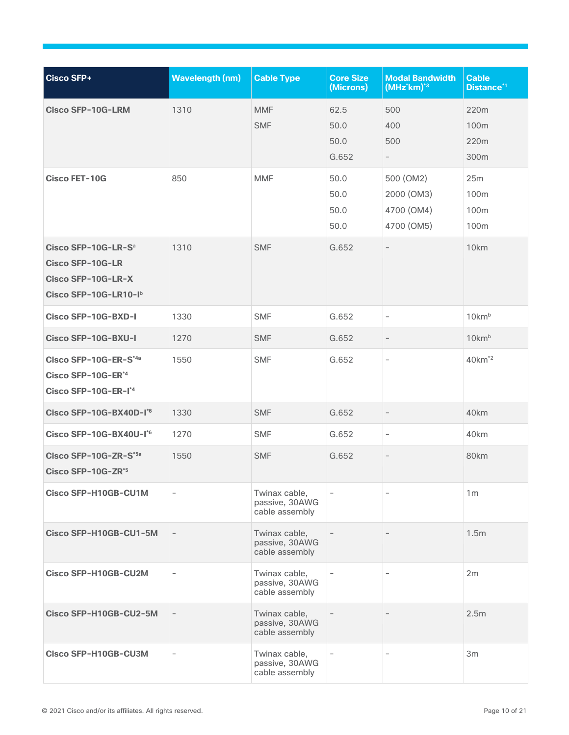| <b>Cisco SFP+</b>                                                                                         | <b>Wavelength (nm)</b>   | <b>Cable Type</b>                                 | <b>Core Size</b><br>(Microns) | <b>Modal Bandwidth</b><br>(MHz'km) <sup>*3</sup> | <b>Cable</b><br>Distance <sup>*1</sup> |
|-----------------------------------------------------------------------------------------------------------|--------------------------|---------------------------------------------------|-------------------------------|--------------------------------------------------|----------------------------------------|
| <b>Cisco SFP-10G-LRM</b>                                                                                  | 1310                     | <b>MMF</b>                                        | 62.5                          | 500                                              | 220m                                   |
|                                                                                                           |                          | <b>SMF</b>                                        | 50.0                          | 400                                              | 100 <sub>m</sub>                       |
|                                                                                                           |                          |                                                   | 50.0                          | 500                                              | 220m                                   |
|                                                                                                           |                          |                                                   | G.652                         | $ \,$                                            | 300m                                   |
| <b>Cisco FET-10G</b>                                                                                      | 850                      | <b>MMF</b>                                        | 50.0                          | 500 (OM2)                                        | 25m                                    |
|                                                                                                           |                          |                                                   | 50.0                          | 2000 (OM3)                                       | 100m                                   |
|                                                                                                           |                          |                                                   | 50.0                          | 4700 (OM4)                                       | 100m                                   |
|                                                                                                           |                          |                                                   | 50.0                          | 4700 (OM5)                                       | 100m                                   |
| Cisco SFP-10G-LR-S <sup>a</sup><br><b>Cisco SFP-10G-LR</b><br>Cisco SFP-10G-LR-X<br>Cisco SFP-10G-LR10-Ib | 1310                     | <b>SMF</b>                                        | G.652                         | $\overline{\phantom{a}}$                         | 10km                                   |
| Cisco SFP-10G-BXD-I                                                                                       | 1330                     | <b>SMF</b>                                        | G.652                         | $\overline{\phantom{a}}$                         | 10km <sup>b</sup>                      |
| Cisco SFP-10G-BXU-I                                                                                       | 1270                     | <b>SMF</b>                                        | G.652                         | $\overline{\phantom{a}}$                         | 10km <sup>b</sup>                      |
| Cisco SFP-10G-ER-S*4a<br>Cisco SFP-10G-ER*4<br>Cisco SFP-10G-ER-I <sup>*4</sup>                           | 1550                     | <b>SMF</b>                                        | G.652                         | $\overline{\phantom{a}}$                         | 40km <sup>*2</sup>                     |
| Cisco SFP-10G-BX40D-I*6                                                                                   | 1330                     | <b>SMF</b>                                        | G.652                         | $\overline{\phantom{a}}$                         | 40 <sub>km</sub>                       |
| Cisco SFP-10G-BX40U-I*6                                                                                   | 1270                     | <b>SMF</b>                                        | G.652                         | $\overline{\phantom{a}}$                         | 40km                                   |
| Cisco SFP-10G-ZR-S*5a<br>Cisco SFP-10G-ZR <sup>*5</sup>                                                   | 1550                     | <b>SMF</b>                                        | G.652                         | $\overline{\phantom{m}}$                         | 80km                                   |
| Cisco SFP-H10GB-CU1M                                                                                      | $\overline{\phantom{0}}$ | Twinax cable,<br>passive, 30AWG<br>cable assembly | $\overline{\phantom{a}}$      |                                                  | 1 <sub>m</sub>                         |
| Cisco SFP-H10GB-CU1-5M                                                                                    |                          | Twinax cable,<br>passive, 30AWG<br>cable assembly |                               |                                                  | 1.5m                                   |
| Cisco SFP-H10GB-CU2M                                                                                      |                          | Twinax cable,<br>passive, 30AWG<br>cable assembly | $\overline{\phantom{a}}$      |                                                  | 2m                                     |
| Cisco SFP-H10GB-CU2-5M                                                                                    |                          | Twinax cable,<br>passive, 30AWG<br>cable assembly |                               |                                                  | 2.5 <sub>m</sub>                       |
| Cisco SFP-H10GB-CU3M                                                                                      | $\qquad \qquad -$        | Twinax cable,<br>passive, 30AWG<br>cable assembly | $\overline{\phantom{a}}$      |                                                  | 3m                                     |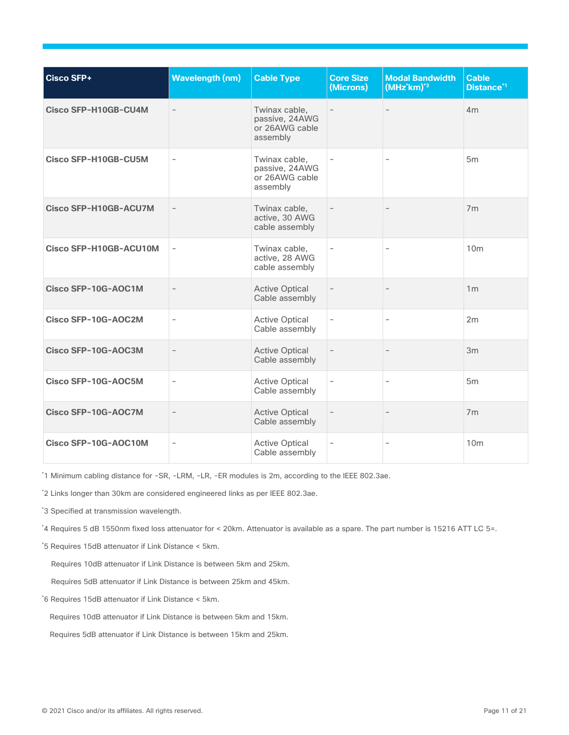| <b>Cisco SFP+</b>            | <b>Wavelength (nm)</b>   | <b>Cable Type</b>                                             | <b>Core Size</b><br>(Microns) | <b>Modal Bandwidth</b><br>(MHz'km) <sup>*3</sup> | <b>Cable</b><br>Distance <sup>*1</sup> |
|------------------------------|--------------------------|---------------------------------------------------------------|-------------------------------|--------------------------------------------------|----------------------------------------|
| Cisco SFP-H10GB-CU4M         |                          | Twinax cable,<br>passive, 24AWG<br>or 26AWG cable<br>assembly |                               |                                                  | 4m                                     |
| Cisco SFP-H10GB-CU5M         |                          | Twinax cable,<br>passive, 24AWG<br>or 26AWG cable<br>assembly |                               | $\overline{a}$                                   | 5 <sub>m</sub>                         |
| <b>Cisco SFP-H10GB-ACU7M</b> |                          | Twinax cable,<br>active, 30 AWG<br>cable assembly             |                               |                                                  | 7 <sub>m</sub>                         |
| Cisco SFP-H10GB-ACU10M       | $\overline{\phantom{a}}$ | Twinax cable,<br>active, 28 AWG<br>cable assembly             | $\overline{\phantom{a}}$      | $\overline{\phantom{0}}$                         | 10 <sub>m</sub>                        |
| Cisco SFP-10G-AOC1M          |                          | <b>Active Optical</b><br>Cable assembly                       | $\overline{\phantom{a}}$      |                                                  | 1 <sub>m</sub>                         |
| Cisco SFP-10G-AOC2M          | $\overline{\phantom{0}}$ | <b>Active Optical</b><br>Cable assembly                       | $\qquad \qquad -$             | $\overline{a}$                                   | 2m                                     |
| Cisco SFP-10G-AOC3M          |                          | <b>Active Optical</b><br>Cable assembly                       | $\qquad \qquad -$             |                                                  | 3m                                     |
| Cisco SFP-10G-AOC5M          | $\overline{\phantom{a}}$ | <b>Active Optical</b><br>Cable assembly                       | $\overline{\phantom{a}}$      | $\overline{\phantom{0}}$                         | 5 <sub>m</sub>                         |
| Cisco SFP-10G-AOC7M          |                          | <b>Active Optical</b><br>Cable assembly                       | $\overline{\phantom{a}}$      |                                                  | 7 <sub>m</sub>                         |
| Cisco SFP-10G-AOC10M         |                          | <b>Active Optical</b><br>Cable assembly                       | $\qquad \qquad -$             | $\overline{\phantom{0}}$                         | 10 <sub>m</sub>                        |

\*1 Minimum cabling distance for -SR, -LRM, -LR, -ER modules is 2m, according to the IEEE 802.3ae.

\*2 Links longer than 30km are considered engineered links as per IEEE 802.3ae.

\*3 Specified at transmission wavelength.

\*4 Requires 5 dB 1550nm fixed loss attenuator for < 20km. Attenuator is available as a spare. The part number is 15216 ATT LC 5=.

\*5 Requires 15dB attenuator if Link Distance < 5km.

Requires 10dB attenuator if Link Distance is between 5km and 25km.

Requires 5dB attenuator if Link Distance is between 25km and 45km.

\*6 Requires 15dB attenuator if Link Distance < 5km.

Requires 10dB attenuator if Link Distance is between 5km and 15km.

Requires 5dB attenuator if Link Distance is between 15km and 25km.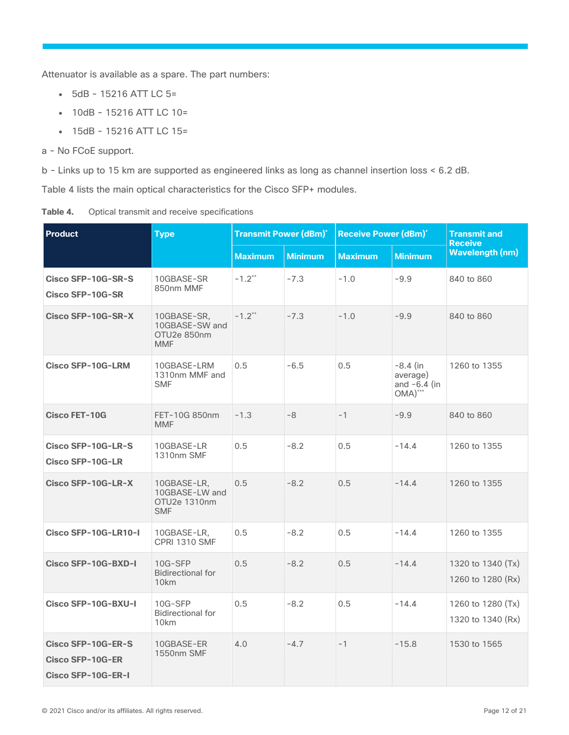Attenuator is available as a spare. The part numbers:

- 5dB 15216 ATT LC 5=
- $\bullet$  10dB 15216 ATT LC 10=
- 15dB 15216 ATT LC 15=
- a No FCoE support.

b - Links up to 15 km are supported as engineered links as long as channel insertion loss < 6.2 dB.

Table 4 lists the main optical characteristics for the Cisco SFP+ modules.

| Table 4. |  |  |  |  | Optical transmit and receive specifications |
|----------|--|--|--|--|---------------------------------------------|
|----------|--|--|--|--|---------------------------------------------|

| <b>Product</b>                                                      | <b>Type</b>                                                 | <b>Transmit Power (dBm)*</b> |                | <b>Receive Power (dBm)*</b> |                                                        | <b>Transmit and</b><br><b>Receive</b>  |
|---------------------------------------------------------------------|-------------------------------------------------------------|------------------------------|----------------|-----------------------------|--------------------------------------------------------|----------------------------------------|
|                                                                     |                                                             | <b>Maximum</b>               | <b>Minimum</b> | <b>Maximum</b>              | <b>Minimum</b>                                         | <b>Wavelength (nm)</b>                 |
| Cisco SFP-10G-SR-S<br><b>Cisco SFP-10G-SR</b>                       | 10GBASE-SR<br>850nm MMF                                     | $-1.2**$                     | $-7.3$         | $-1.0$                      | $-9.9$                                                 | 840 to 860                             |
| Cisco SFP-10G-SR-X                                                  | 10GBASE-SR,<br>10GBASE-SW and<br>OTU2e 850nm<br><b>MMF</b>  | $-1.2**$                     | $-7.3$         | $-1.0$                      | $-9.9$                                                 | 840 to 860                             |
| <b>Cisco SFP-10G-LRM</b>                                            | 10GBASE-LRM<br>1310nm MMF and<br><b>SMF</b>                 | 0.5                          | $-6.5$         | 0.5                         | $-8.4$ (in<br>average)<br>and $-6.4$ (in<br>$OMA)$ *** | 1260 to 1355                           |
| <b>Cisco FET-10G</b>                                                | FET-10G 850nm<br><b>MMF</b>                                 | $-1.3$                       | -8             | $-1$                        | $-9.9$                                                 | 840 to 860                             |
| Cisco SFP-10G-LR-S<br><b>Cisco SFP-10G-LR</b>                       | 10GBASE-LR<br>1310nm SMF                                    | 0.5                          | $-8.2$         | 0.5                         | $-14.4$                                                | 1260 to 1355                           |
| Cisco SFP-10G-LR-X                                                  | 10GBASE-LR,<br>10GBASE-LW and<br>OTU2e 1310nm<br><b>SMF</b> | 0.5                          | $-8.2$         | 0.5                         | $-14.4$                                                | 1260 to 1355                           |
| Cisco SFP-10G-LR10-I                                                | 10GBASE-LR,<br><b>CPRI 1310 SMF</b>                         | 0.5                          | $-8.2$         | 0.5                         | $-14.4$                                                | 1260 to 1355                           |
| Cisco SFP-10G-BXD-I                                                 | 10G-SFP<br><b>Bidirectional for</b><br>10 <sub>km</sub>     | 0.5                          | $-8.2$         | 0.5                         | $-14.4$                                                | 1320 to 1340 (Tx)<br>1260 to 1280 (Rx) |
| Cisco SFP-10G-BXU-I                                                 | 10G-SFP<br><b>Bidirectional for</b><br>10km                 | 0.5                          | $-8.2$         | 0.5                         | $-14.4$                                                | 1260 to 1280 (Tx)<br>1320 to 1340 (Rx) |
| Cisco SFP-10G-ER-S<br><b>Cisco SFP-10G-ER</b><br>Cisco SFP-10G-ER-I | 10GBASE-ER<br>1550nm SMF                                    | 4.0                          | $-4.7$         | $-1$                        | $-15.8$                                                | 1530 to 1565                           |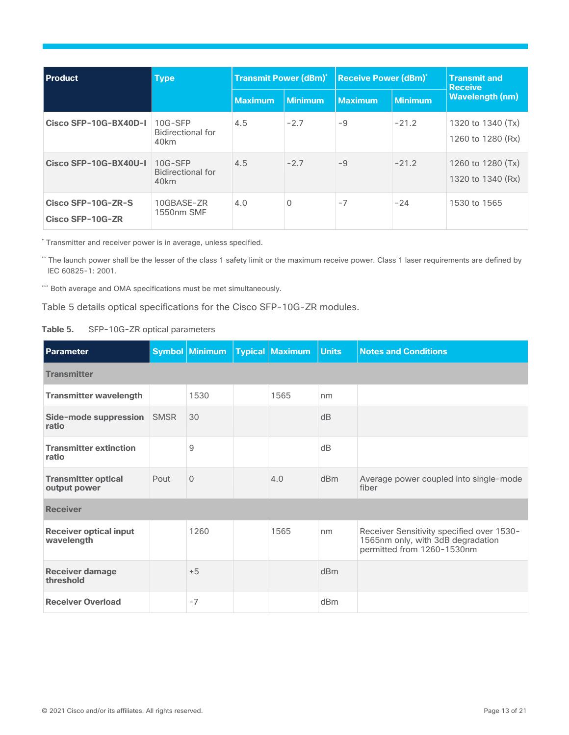| <b>Product</b>                         | <b>Type</b>                                             | <b>Transmit Power (dBm)*</b> |                | <b>Receive Power (dBm)*</b> |                | <b>Transmit and</b><br><b>Receive</b>  |
|----------------------------------------|---------------------------------------------------------|------------------------------|----------------|-----------------------------|----------------|----------------------------------------|
|                                        |                                                         | <b>Maximum</b>               | <b>Minimum</b> | <b>Maximum</b>              | <b>Minimum</b> | <b>Wavelength (nm)</b>                 |
| Cisco SFP-10G-BX40D-I                  | 10G-SFP<br><b>Bidirectional for</b><br>40km             | 4.5                          | $-2.7$         | -9                          | $-21.2$        | 1320 to 1340 (Tx)<br>1260 to 1280 (Rx) |
| Cisco SFP-10G-BX40U-I                  | 10G-SFP<br><b>Bidirectional for</b><br>40 <sub>km</sub> | 4.5                          | $-2.7$         | $-9$                        | $-21.2$        | 1260 to 1280 (Tx)<br>1320 to 1340 (Rx) |
| Cisco SFP-10G-ZR-S<br>Cisco SFP-10G-ZR | 10GBASE-ZR<br>1550nm SMF                                | 4.0                          | 0              | $-7$                        | $-24$          | 1530 to 1565                           |

\* Transmitter and receiver power is in average, unless specified.

\*\* The launch power shall be the lesser of the class 1 safety limit or the maximum receive power. Class 1 laser requirements are defined by IEC 60825-1: 2001.

\*\*\* Both average and OMA specifications must be met simultaneously.

Table 5 details optical specifications for the Cisco SFP-10G-ZR modules.

| Table 5. | SFP-10G-ZR optical parameters |  |  |
|----------|-------------------------------|--|--|
|----------|-------------------------------|--|--|

| <b>Parameter</b>                            |             | <b>Symbol Minimum</b> | <b>Typical Maximum</b> | <b>Units</b> | <b>Notes and Conditions</b>                                                                                  |
|---------------------------------------------|-------------|-----------------------|------------------------|--------------|--------------------------------------------------------------------------------------------------------------|
| <b>Transmitter</b>                          |             |                       |                        |              |                                                                                                              |
| <b>Transmitter wavelength</b>               |             | 1530                  | 1565                   | nm           |                                                                                                              |
| Side-mode suppression<br>ratio              | <b>SMSR</b> | 30                    |                        | dB           |                                                                                                              |
| <b>Transmitter extinction</b><br>ratio      |             | 9                     |                        | dB           |                                                                                                              |
| <b>Transmitter optical</b><br>output power  | Pout        | $\Omega$              | 4.0                    | dBm          | Average power coupled into single-mode<br>fiber                                                              |
| <b>Receiver</b>                             |             |                       |                        |              |                                                                                                              |
| <b>Receiver optical input</b><br>wavelength |             | 1260                  | 1565                   | nm           | Receiver Sensitivity specified over 1530-<br>1565nm only, with 3dB degradation<br>permitted from 1260-1530nm |
| <b>Receiver damage</b><br>threshold         |             | $+5$                  |                        | dBm          |                                                                                                              |
| <b>Receiver Overload</b>                    |             | $-7$                  |                        | dBm          |                                                                                                              |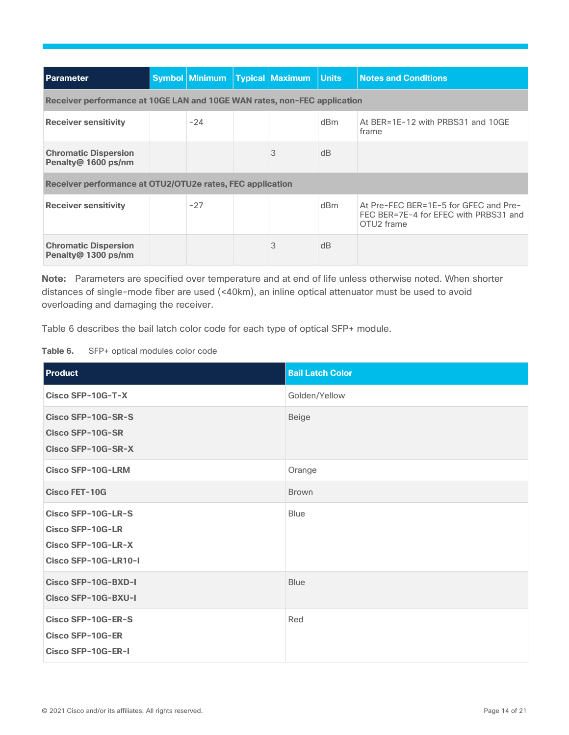| <b>Parameter</b>                                                         |  | Symbol Minimum |  | <b>Typical Maximum</b> | <b>Units</b> | <b>Notes and Conditions</b>                                                                              |
|--------------------------------------------------------------------------|--|----------------|--|------------------------|--------------|----------------------------------------------------------------------------------------------------------|
| Receiver performance at 10GE LAN and 10GE WAN rates, non-FEC application |  |                |  |                        |              |                                                                                                          |
| <b>Receiver sensitivity</b>                                              |  | $-24$          |  |                        | dBm          | At BER=1E-12 with PRBS31 and 10GE<br>frame                                                               |
| <b>Chromatic Dispersion</b><br>Penalty@ 1600 ps/nm                       |  |                |  | 3                      | dB           |                                                                                                          |
| Receiver performance at OTU2/OTU2e rates, FEC application                |  |                |  |                        |              |                                                                                                          |
| <b>Receiver sensitivity</b>                                              |  | $-27$          |  |                        | dBm          | At Pre-FEC BER=1E-5 for GFEC and Pre-<br>FEC BER=7E-4 for EFEC with PRBS31 and<br>OTU <sub>2</sub> frame |
| <b>Chromatic Dispersion</b><br>Penalty@ 1300 ps/nm                       |  |                |  | 3                      | dB           |                                                                                                          |

**Note:** Parameters are specified over temperature and at end of life unless otherwise noted. When shorter distances of single-mode fiber are used (<40km), an inline optical attenuator must be used to avoid overloading and damaging the receiver.

Table 6 describes the bail latch color code for each type of optical SFP+ module.

**Table 6.** SFP+ optical modules color code

| Product                                                                                     | <b>Bail Latch Color</b> |
|---------------------------------------------------------------------------------------------|-------------------------|
| Cisco SFP-10G-T-X                                                                           | Golden/Yellow           |
| Cisco SFP-10G-SR-S<br><b>Cisco SFP-10G-SR</b><br>Cisco SFP-10G-SR-X                         | <b>Beige</b>            |
| <b>Cisco SFP-10G-LRM</b>                                                                    | Orange                  |
| <b>Cisco FET-10G</b>                                                                        | <b>Brown</b>            |
| Cisco SFP-10G-LR-S<br><b>Cisco SFP-10G-LR</b><br>Cisco SFP-10G-LR-X<br>Cisco SFP-10G-LR10-I | <b>Blue</b>             |
| Cisco SFP-10G-BXD-I<br>Cisco SFP-10G-BXU-I                                                  | <b>Blue</b>             |
| Cisco SFP-10G-ER-S<br><b>Cisco SFP-10G-ER</b><br>Cisco SFP-10G-ER-I                         | Red                     |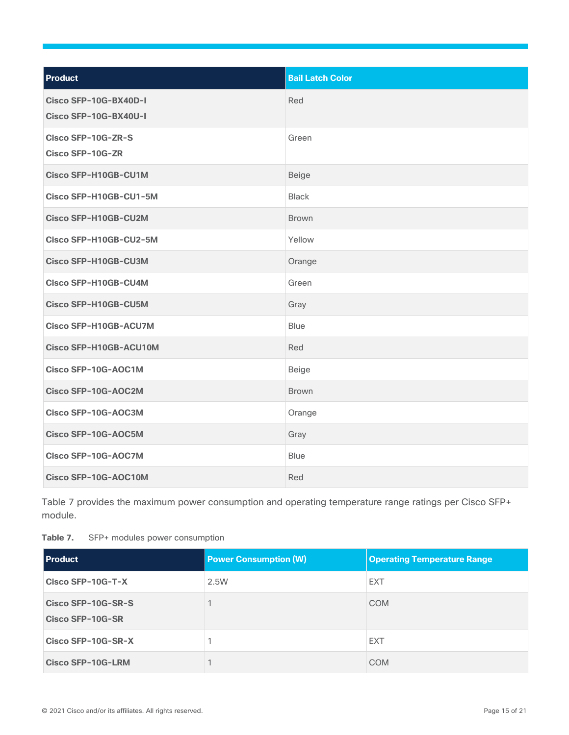| <b>Product</b>                                 | <b>Bail Latch Color</b> |
|------------------------------------------------|-------------------------|
| Cisco SFP-10G-BX40D-I<br>Cisco SFP-10G-BX40U-I | Red                     |
| Cisco SFP-10G-ZR-S<br><b>Cisco SFP-10G-ZR</b>  | Green                   |
| <b>Cisco SFP-H10GB-CU1M</b>                    | Beige                   |
| Cisco SFP-H10GB-CU1-5M                         | <b>Black</b>            |
| <b>Cisco SFP-H10GB-CU2M</b>                    | Brown                   |
| Cisco SFP-H10GB-CU2-5M                         | Yellow                  |
| <b>Cisco SFP-H10GB-CU3M</b>                    | Orange                  |
| Cisco SFP-H10GB-CU4M                           | Green                   |
| Cisco SFP-H10GB-CU5M                           | Gray                    |
| <b>Cisco SFP-H10GB-ACU7M</b>                   | <b>Blue</b>             |
| Cisco SFP-H10GB-ACU10M                         | Red                     |
| Cisco SFP-10G-AOC1M                            | Beige                   |
| Cisco SFP-10G-AOC2M                            | <b>Brown</b>            |
| Cisco SFP-10G-AOC3M                            | Orange                  |
| Cisco SFP-10G-AOC5M                            | Gray                    |
| Cisco SFP-10G-AOC7M                            | <b>Blue</b>             |
| Cisco SFP-10G-AOC10M                           | Red                     |

Table 7 provides the maximum power consumption and operating temperature range ratings per Cisco SFP+ module.

<span id="page-14-0"></span>

| Table 7. | SFP+ modules power consumption |  |  |
|----------|--------------------------------|--|--|
|----------|--------------------------------|--|--|

| <b>Product</b>                         | <b>Power Consumption (W)</b> | <b>Operating Temperature Range</b> |
|----------------------------------------|------------------------------|------------------------------------|
| Cisco SFP-10G-T-X                      | 2.5W                         | <b>EXT</b>                         |
| Cisco SFP-10G-SR-S<br>Cisco SFP-10G-SR |                              | <b>COM</b>                         |
| Cisco SFP-10G-SR-X                     |                              | <b>EXT</b>                         |
| <b>Cisco SFP-10G-LRM</b>               |                              | <b>COM</b>                         |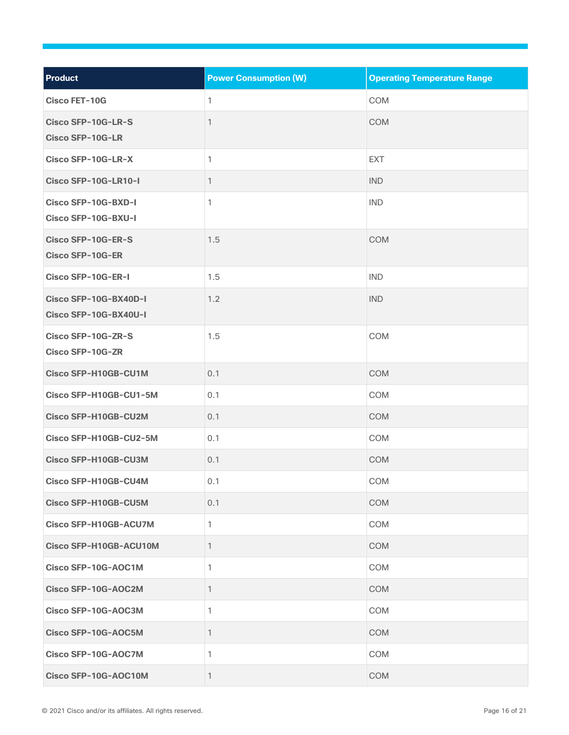| Product                                        | <b>Power Consumption (W)</b> | <b>Operating Temperature Range</b> |
|------------------------------------------------|------------------------------|------------------------------------|
| <b>Cisco FET-10G</b>                           | 1                            | COM                                |
| Cisco SFP-10G-LR-S<br><b>Cisco SFP-10G-LR</b>  | 1                            | <b>COM</b>                         |
| Cisco SFP-10G-LR-X                             | 1                            | <b>EXT</b>                         |
| Cisco SFP-10G-LR10-I                           | 1                            | <b>IND</b>                         |
| Cisco SFP-10G-BXD-I<br>Cisco SFP-10G-BXU-I     | 1                            | <b>IND</b>                         |
| Cisco SFP-10G-ER-S<br><b>Cisco SFP-10G-ER</b>  | 1.5                          | <b>COM</b>                         |
| Cisco SFP-10G-ER-I                             | 1.5                          | <b>IND</b>                         |
| Cisco SFP-10G-BX40D-I<br>Cisco SFP-10G-BX40U-I | 1.2                          | <b>IND</b>                         |
| Cisco SFP-10G-ZR-S<br><b>Cisco SFP-10G-ZR</b>  | 1.5                          | COM                                |
| Cisco SFP-H10GB-CU1M                           | 0.1                          | <b>COM</b>                         |
| Cisco SFP-H10GB-CU1-5M                         | 0.1                          | COM                                |
| Cisco SFP-H10GB-CU2M                           | 0.1                          | <b>COM</b>                         |
| Cisco SFP-H10GB-CU2-5M                         | 0.1                          | COM                                |
| Cisco SFP-H10GB-CU3M                           | 0.1                          | <b>COM</b>                         |
| Cisco SFP-H10GB-CU4M                           | 0.1                          | COM                                |
| <b>Cisco SFP-H10GB-CU5M</b>                    | 0.1                          | <b>COM</b>                         |
| Cisco SFP-H10GB-ACU7M                          | 1                            | COM                                |
| Cisco SFP-H10GB-ACU10M                         | 1                            | <b>COM</b>                         |
| Cisco SFP-10G-AOC1M                            | 1                            | COM                                |
| Cisco SFP-10G-AOC2M                            | 1                            | <b>COM</b>                         |
| Cisco SFP-10G-AOC3M                            | 1                            | COM                                |
| Cisco SFP-10G-AOC5M                            | 1                            | <b>COM</b>                         |
| Cisco SFP-10G-AOC7M                            | 1                            | COM                                |
| Cisco SFP-10G-AOC10M                           | 1                            | COM                                |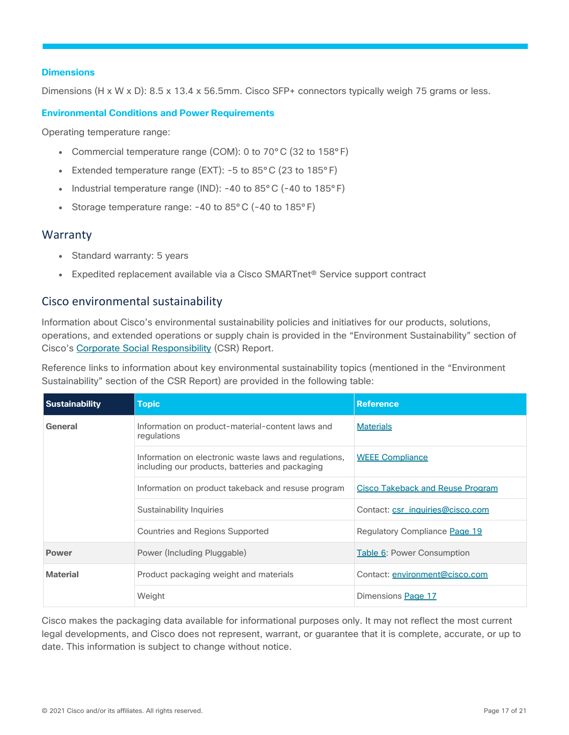#### <span id="page-16-2"></span>**Dimensions**

Dimensions (H x W x D): 8.5 x 13.4 x 56.5mm. Cisco SFP+ connectors typically weigh 75 grams or less.

#### **Environmental Conditions and Power Requirements**

Operating temperature range:

- Commercial temperature range (COM): 0 to 70 $^{\circ}$ C (32 to 158 $^{\circ}$  F)
- Extended temperature range (EXT):  $-5$  to 85 $^{\circ}$ C (23 to 185 $^{\circ}$  F)
- Industrial temperature range (IND): -40 to 85°C (-40 to 185°F)
- Storage temperature range:  $-40$  to  $85^{\circ}$  C ( $-40$  to  $185^{\circ}$  F)

#### <span id="page-16-0"></span>**Warranty**

- Standard warranty: 5 years
- Expedited replacement available via a Cisco SMARTnet<sup>®</sup> Service support contract

#### <span id="page-16-1"></span>Cisco environmental sustainability

Information about Cisco's environmental sustainability policies and initiatives for our products, solutions, operations, and extended operations or supply chain is provided in the "Environment Sustainability" section of Cisco's [Corporate Social Responsibility](https://www-1.compliance2product.com/c2p/getAttachment.do?code=YM6Y0yThdO6Wj1FxxYPYfUG2dtFkTeFWGpzLRO8tcURFEifUCRV403Tq2ZMWP6Ai) (CSR) Report.

Reference links to information about key environmental sustainability topics (mentioned in the "Environment Sustainability" section of the CSR Report) are provided in the following table:

| <b>Sustainability</b> | <b>Topic</b>                                                                                             | <b>Reference</b>                        |
|-----------------------|----------------------------------------------------------------------------------------------------------|-----------------------------------------|
| General               | Information on product-material-content laws and<br>regulations                                          | <b>Materials</b>                        |
|                       | Information on electronic waste laws and regulations,<br>including our products, batteries and packaging | <b>WEEE Compliance</b>                  |
|                       | Information on product takeback and resuse program                                                       | <b>Cisco Takeback and Reuse Program</b> |
|                       | Sustainability Inquiries                                                                                 | Contact: csr_inquiries@cisco.com        |
|                       | Countries and Regions Supported                                                                          | Regulatory Compliance Page 19           |
| <b>Power</b>          | Power (Including Pluggable)                                                                              | <b>Table 6: Power Consumption</b>       |
| <b>Material</b>       | Product packaging weight and materials                                                                   | Contact: environment@cisco.com          |
|                       | Weight                                                                                                   | Dimensions Page 17                      |

Cisco makes the packaging data available for informational purposes only. It may not reflect the most current legal developments, and Cisco does not represent, warrant, or guarantee that it is complete, accurate, or up to date. This information is subject to change without notice.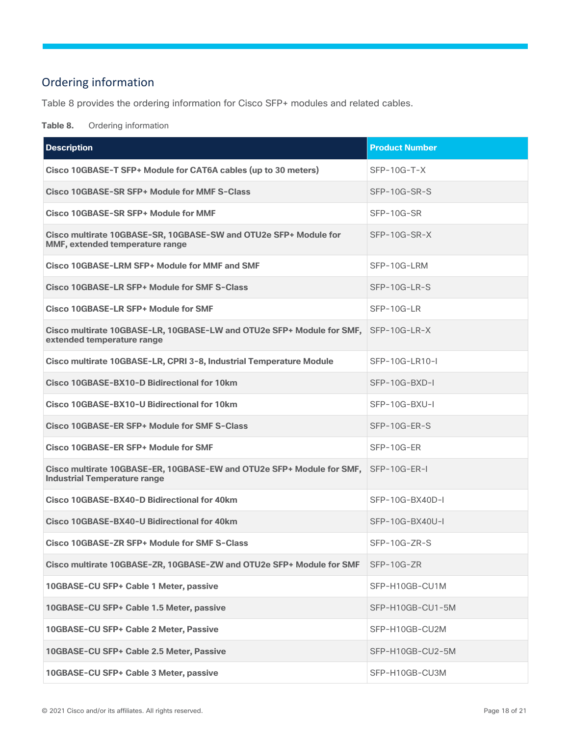# <span id="page-17-0"></span>Ordering information

Table 8 provides the ordering information for Cisco SFP+ modules and related cables.

**Table 8.** Ordering information

| <b>Description</b>                                                                                               | <b>Product Number</b> |
|------------------------------------------------------------------------------------------------------------------|-----------------------|
| Cisco 10GBASE-T SFP+ Module for CAT6A cables (up to 30 meters)                                                   | $SFP-10G-T-X$         |
| Cisco 10GBASE-SR SFP+ Module for MMF S-Class                                                                     | SFP-10G-SR-S          |
| Cisco 10GBASE-SR SFP+ Module for MMF                                                                             | SFP-10G-SR            |
| Cisco multirate 10GBASE-SR, 10GBASE-SW and OTU2e SFP+ Module for<br>MMF, extended temperature range              | SFP-10G-SR-X          |
| Cisco 10GBASE-LRM SFP+ Module for MMF and SMF                                                                    | SFP-10G-LRM           |
| Cisco 10GBASE-LR SFP+ Module for SMF S-Class                                                                     | SFP-10G-LR-S          |
| Cisco 10GBASE-LR SFP+ Module for SMF                                                                             | SFP-10G-LR            |
| Cisco multirate 10GBASE-LR, 10GBASE-LW and OTU2e SFP+ Module for SMF, SFP-10G-LR-X<br>extended temperature range |                       |
| Cisco multirate 10GBASE-LR, CPRI 3-8, Industrial Temperature Module                                              | SFP-10G-LR10-I        |
| Cisco 10GBASE-BX10-D Bidirectional for 10km                                                                      | SFP-10G-BXD-I         |
| Cisco 10GBASE-BX10-U Bidirectional for 10km                                                                      | SFP-10G-BXU-I         |
| Cisco 10GBASE-ER SFP+ Module for SMF S-Class                                                                     | SFP-10G-ER-S          |
| Cisco 10GBASE-ER SFP+ Module for SMF                                                                             | SFP-10G-ER            |
| Cisco multirate 10GBASE-ER, 10GBASE-EW and OTU2e SFP+ Module for SMF,<br><b>Industrial Temperature range</b>     | SFP-10G-ER-I          |
| Cisco 10GBASE-BX40-D Bidirectional for 40km                                                                      | SFP-10G-BX40D-I       |
| Cisco 10GBASE-BX40-U Bidirectional for 40km                                                                      | SFP-10G-BX40U-I       |
| Cisco 10GBASE-ZR SFP+ Module for SMF S-Class                                                                     | $SFP-10G-ZR-S$        |
| Cisco multirate 10GBASE-ZR, 10GBASE-ZW and OTU2e SFP+ Module for SMF                                             | SFP-10G-ZR            |
| 10GBASE-CU SFP+ Cable 1 Meter, passive                                                                           | SFP-H10GB-CU1M        |
| 10GBASE-CU SFP+ Cable 1.5 Meter, passive                                                                         | SFP-H10GB-CU1-5M      |
| 10GBASE-CU SFP+ Cable 2 Meter, Passive                                                                           | SFP-H10GB-CU2M        |
| 10GBASE-CU SFP+ Cable 2.5 Meter, Passive                                                                         | SFP-H10GB-CU2-5M      |
| 10GBASE-CU SFP+ Cable 3 Meter, passive                                                                           | SFP-H10GB-CU3M        |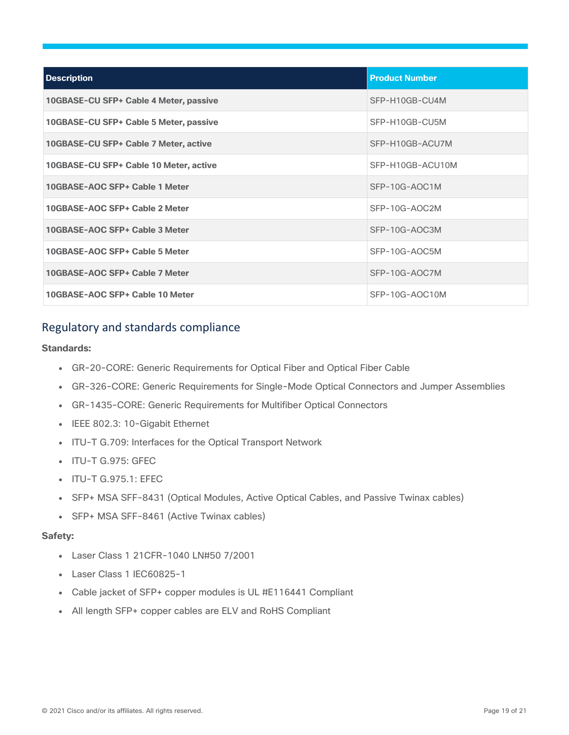| <b>Description</b>                     | <b>Product Number</b> |
|----------------------------------------|-----------------------|
| 10GBASE-CU SFP+ Cable 4 Meter, passive | SFP-H10GB-CU4M        |
| 10GBASE-CU SFP+ Cable 5 Meter, passive | SFP-H10GB-CU5M        |
| 10GBASE-CU SFP+ Cable 7 Meter, active  | SFP-H10GB-ACU7M       |
| 10GBASE-CU SFP+ Cable 10 Meter, active | SFP-H10GB-ACU10M      |
| 10GBASE-AOC SFP+ Cable 1 Meter         | $SFP-10G-AOC1M$       |
| 10GBASE-AOC SFP+ Cable 2 Meter         | SFP-10G-AOC2M         |
| 10GBASE-AOC SFP+ Cable 3 Meter         | SFP-10G-AOC3M         |
| 10GBASE-AOC SFP+ Cable 5 Meter         | SFP-10G-AOC5M         |
| 10GBASE-AOC SFP+ Cable 7 Meter         | SFP-10G-AOC7M         |
| 10GBASE-AOC SFP+ Cable 10 Meter        | SFP-10G-AOC10M        |

#### <span id="page-18-0"></span>Regulatory and standards compliance

#### **Standards:**

- GR-20-CORE: Generic Requirements for Optical Fiber and Optical Fiber Cable
- GR-326-CORE: Generic Requirements for Single-Mode Optical Connectors and Jumper Assemblies
- GR-1435-CORE: Generic Requirements for Multifiber Optical Connectors
- IEEE 802.3: 10-Gigabit Ethernet
- ITU-T G.709: Interfaces for the Optical Transport Network
- ITU-T G.975: GFEC
- ITU-T G.975.1: EFEC
- SFP+ MSA SFF-8431 (Optical Modules, Active Optical Cables, and Passive Twinax cables)
- SFP+ MSA SFF-8461 (Active Twinax cables)

#### **Safety:**

- Laser Class 1 21CFR-1040 LN#50 7/2001
- Laser Class 1 IEC60825-1
- Cable jacket of SFP+ copper modules is UL #E116441 Compliant
- All length SFP+ copper cables are ELV and RoHS Compliant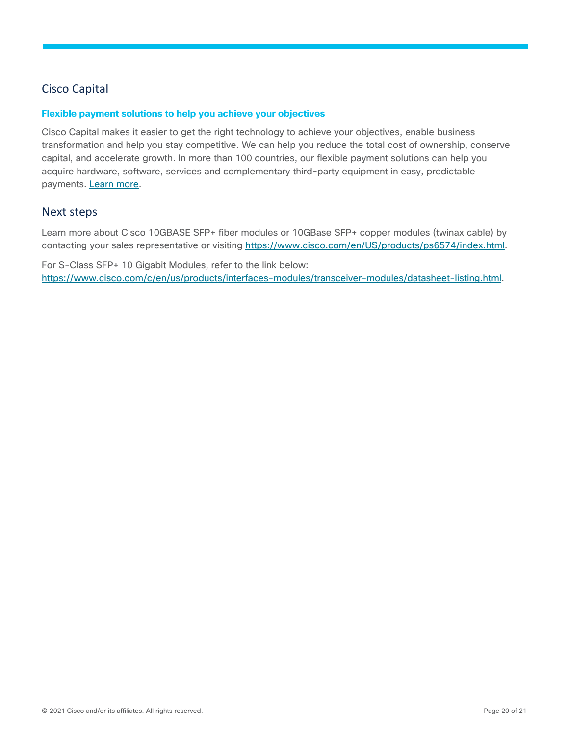# <span id="page-19-0"></span>Cisco Capital

#### **Flexible payment solutions to help you achieve your objectives**

Cisco Capital makes it easier to get the right technology to achieve your objectives, enable business transformation and help you stay competitive. We can help you reduce the total cost of ownership, conserve capital, and accelerate growth. In more than 100 countries, our flexible payment solutions can help you acquire hardware, software, services and complementary third-party equipment in easy, predictable payments. [Learn more.](https://www.cisco.com/go/financing)

#### <span id="page-19-1"></span>Next steps

Learn more about Cisco 10GBASE SFP+ fiber modules or 10GBase SFP+ copper modules (twinax cable) by contacting your sales representative or visiting [https://www.cisco.com/en/US/products/ps6574/index.html.](https://www.cisco.com/en/US/products/ps6574/index.html)

For S-Class SFP+ 10 Gigabit Modules, refer to the link below: [https://www.cisco.com/c/en/us/products/interfaces-modules/transceiver-modules/datasheet-listing.html.](https://www.cisco.com/c/en/us/products/interfaces-modules/transceiver-modules/datasheet-listing.html)